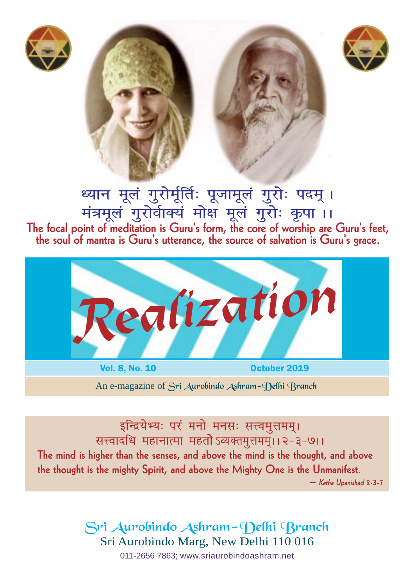





थ्यान मूलं गुरोर्मूर्तिः पूजामूलं गुरोः पदम् । **e a=e wy a x qjk so ZkD; a ek s{k e wy a x qjk s% —ik AA The focal point of meditation is Guru's form, the core of worship are Guru's feet, the soul of mantra is Guru's utterance, the source of salvation is Guru's grace.**



An e-magazine of Sri Aurobindo Ashram-Delhi Branch

इन्द्रियेभ्यः परं मनो मनसः सत्त्वमुत्तमम्। सत्त्वादधि महानात्मा महतो ऽव्यक्तमुत्तमम् । २-३-७।। **The mind is higher than the senses, and above the mind is the thought, and above the thought is the mighty Spirit, and above the Mighty One is the Unmanifest. – Katha Upanishad 2-3-7**

> Sri Aurobindo Ashram-Delhi Branch Sri Aurobindo Marg, New Delhi 110 016

011-2656 7863; www.sriaurobindoashram.net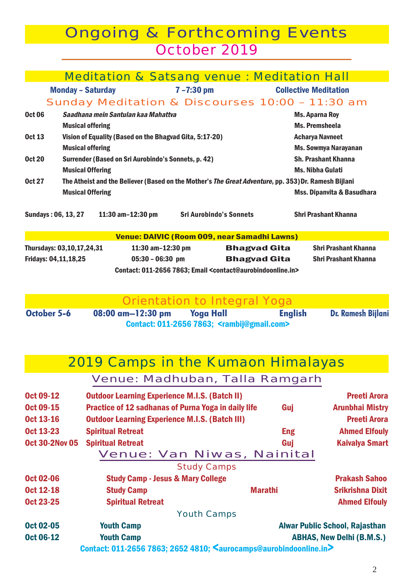# Ongoing & Forthcoming Events October 2019

|                       | <b>Meditation &amp; Satsang venue: Meditation Hall</b>                                               |                                                                                         |                     |                                       |
|-----------------------|------------------------------------------------------------------------------------------------------|-----------------------------------------------------------------------------------------|---------------------|---------------------------------------|
|                       | <b>Monday - Saturday</b>                                                                             | $7 - 7:30$ pm                                                                           |                     | <b>Collective Meditation</b>          |
|                       | Sunday Meditation & Discourses 10:00 - 11:30 am                                                      |                                                                                         |                     |                                       |
| <b>Oct 06</b>         | Saadhana mein Santulan kaa Mahattya                                                                  |                                                                                         |                     | <b>Ms. Aparna Roy</b>                 |
|                       | <b>Musical offering</b>                                                                              |                                                                                         |                     | <b>Ms. Premsheela</b>                 |
| <b>Oct 13</b>         | Vision of Equality (Based on the Bhagvad Gita, 5:17-20)                                              |                                                                                         |                     | <b>Acharya Navneet</b>                |
|                       | <b>Musical offering</b>                                                                              |                                                                                         |                     | <b>Ms. Sowmya Narayanan</b>           |
| <b>Oct 20</b>         | Surrender (Based on Sri Aurobindo's Sonnets, p. 42)                                                  |                                                                                         |                     | <b>Sh. Prashant Khanna</b>            |
|                       | <b>Musical Offering</b>                                                                              |                                                                                         |                     | <b>Ms. Nibha Gulati</b>               |
| <b>Oct 27</b>         | The Atheist and the Believer (Based on the Mother's The Great Adventure, pp. 353) Dr. Ramesh Bijlani |                                                                                         |                     |                                       |
|                       | <b>Musical Offering</b>                                                                              |                                                                                         |                     | <b>Mss. Dipanvita &amp; Basudhara</b> |
| Sundays: 06, 13, 27   | 11:30 am-12:30 pm                                                                                    | <b>Sri Aurobindo's Sonnets</b>                                                          |                     | <b>Shri Prashant Khanna</b>           |
|                       |                                                                                                      | <b>Venue: DAIVIC (Room 009, near Samadhi Lawns)</b>                                     |                     |                                       |
|                       | Thursdays: 03,10,17,24,31                                                                            | 11:30 am-12:30 pm                                                                       | <b>Bhagvad Gita</b> | <b>Shri Prashant Khanna</b>           |
| Fridays: 04,11,18,25  | $05:30 - 06:30$ pm                                                                                   |                                                                                         | <b>Bhagvad Gita</b> | <b>Shri Prashant Khanna</b>           |
|                       |                                                                                                      | Contact: 011-2656 7863; Email <contact@aurobindoonline.in></contact@aurobindoonline.in> |                     |                                       |
|                       |                                                                                                      |                                                                                         |                     |                                       |
| <b>October 5-6</b>    |                                                                                                      | Orientation to Integral Yoga                                                            |                     |                                       |
|                       | 08:00 am-12:30 pm                                                                                    | <b>Yoga Hall</b><br>Contact: 011-2656 7863; <rambij@gmail.com></rambij@gmail.com>       | <b>English</b>      | Dr. Ramesh Bijlani                    |
|                       |                                                                                                      |                                                                                         |                     |                                       |
|                       |                                                                                                      |                                                                                         |                     |                                       |
|                       | 2019 Camps in the Kumaon Himalayas                                                                   |                                                                                         |                     |                                       |
|                       |                                                                                                      | Venue: Madhuban, Talla Ramgarh                                                          |                     |                                       |
| Oct 09-12             |                                                                                                      | <b>Outdoor Learning Experience M.I.S. (Batch II)</b>                                    |                     | <b>Preeti Arora</b>                   |
| <b>Oct 09-15</b>      |                                                                                                      | <b>Practice of 12 sadhanas of Purna Yoga in daily life</b>                              | Guj                 | <b>Arunbhai Mistry</b>                |
| <b>Oct 13-16</b>      |                                                                                                      | <b>Outdoor Learning Experience M.I.S. (Batch III)</b>                                   |                     | <b>Preeti Arora</b>                   |
| <b>Oct 13-23</b>      | <b>Spiritual Retreat</b>                                                                             |                                                                                         | <b>Eng</b>          | <b>Ahmed Elfouly</b>                  |
| <b>Oct 30-2Nov 05</b> | <b>Spiritual Retreat</b>                                                                             |                                                                                         | Guj                 | <b>Kaivalya Smart</b>                 |
|                       |                                                                                                      | Venue: Van Niwas, Nainital                                                              |                     |                                       |
|                       |                                                                                                      | <b>Study Camps</b>                                                                      |                     |                                       |
| <b>Oct 02-06</b>      |                                                                                                      | <b>Study Camp - Jesus &amp; Mary College</b>                                            |                     | <b>Prakash Sahoo</b>                  |
| <b>Oct 12-18</b>      | <b>Study Camp</b>                                                                                    |                                                                                         | <b>Marathi</b>      | <b>Srikrishna Dixit</b>               |
|                       |                                                                                                      |                                                                                         |                     |                                       |
| <b>Oct 23-25</b>      | <b>Spiritual Retreat</b>                                                                             |                                                                                         |                     | <b>Ahmed Elfouly</b>                  |

Oct 02-05 Youth Camp **Alwar Public School, Rajasthan** Oct 06-12 Youth Camp Youth Camp ABHAS, New Delhi (B.M.S.)

Contact: 011-2656 7863; 2652 4810; <aurocamps@aurobindoonline.in>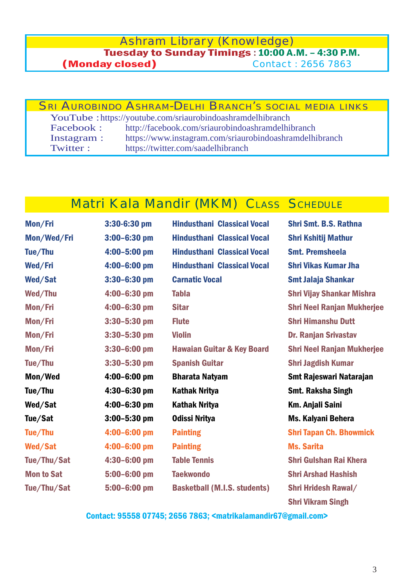### Ashram Library (Knowledge) Tuesday to Sunday Timings : 10:00 A.M. – 4:30 P.M. (Monday closed) *Contact :* 2656 7863

|             | <b>SRI AUROBINDO ASHRAM-DELHI BRANCH'S SOCIAL MEDIA LINKS</b> |
|-------------|---------------------------------------------------------------|
|             | YouTube:https://youtube.com/sriaurobindoashramdelhibranch     |
| Facebook:   | http://facebook.com/sriaurobindoashramdelhibranch             |
| Instagram : | https://www.instagram.com/sriaurobindoashramdelhibranch       |
| Twitter:    | https://twitter.com/saadelhibranch                            |

# **Matri Kala Mandir (MKM) CLASS SCHEDULE**

| Mon/Fri           | 3:30-6:30 pm     | <b>Hindusthani Classical Vocal</b>    | <b>Shri Smt. B.S. Rathna</b>      |
|-------------------|------------------|---------------------------------------|-----------------------------------|
| Mon/Wed/Fri       | $3:00 - 6:30$ pm | <b>Hindusthani Classical Vocal</b>    | <b>Shri Kshitij Mathur</b>        |
| Tue/Thu           | $4:00 - 5:00$ pm | <b>Hindusthani Classical Vocal</b>    | <b>Smt. Premsheela</b>            |
| Wed/Fri           | $4:00 - 6:00$ pm | <b>Hindusthani Classical Vocal</b>    | <b>Shri Vikas Kumar Jha</b>       |
| Wed/Sat           | $3:30 - 6:30$ pm | <b>Carnatic Vocal</b>                 | <b>Smt Jalaja Shankar</b>         |
| Wed/Thu           | $4:00 - 6:30$ pm | <b>Tabla</b>                          | <b>Shri Vijay Shankar Mishra</b>  |
| Mon/Fri           | $4:00 - 6:30$ pm | <b>Sitar</b>                          | <b>Shri Neel Ranjan Mukherjee</b> |
| Mon/Fri           | $3:30 - 5:30$ pm | <b>Flute</b>                          | <b>Shri Himanshu Dutt</b>         |
| Mon/Fri           | $3:30 - 5:30$ pm | <b>Violin</b>                         | <b>Dr. Ranjan Srivastav</b>       |
| Mon/Fri           | $3:30 - 6:00$ pm | <b>Hawaian Guitar &amp; Key Board</b> | <b>Shri Neel Ranjan Mukherjee</b> |
| Tue/Thu           | $3:30 - 5:30$ pm | <b>Spanish Guitar</b>                 | <b>Shri Jagdish Kumar</b>         |
| Mon/Wed           | $4:00 - 6:00$ pm | <b>Bharata Natyam</b>                 | Smt Rajeswari Natarajan           |
| Tue/Thu           | $4:30-6:30$ pm   | Kathak Nritya                         | <b>Smt. Raksha Singh</b>          |
| Wed/Sat           | $4:00 - 6:30$ pm | <b>Kathak Nritya</b>                  | <b>Km. Anjali Saini</b>           |
| Tue/Sat           | $3:00 - 5:30$ pm | Odissi Nritya                         | Ms. Kalyani Behera                |
| Tue/Thu           | $4:00 - 6:00$ pm | <b>Painting</b>                       | <b>Shri Tapan Ch. Bhowmick</b>    |
| Wed/Sat           | $4:00 - 6:00$ pm | <b>Painting</b>                       | <b>Ms. Sarita</b>                 |
| Tue/Thu/Sat       | $4:30 - 6:00$ pm | <b>Table Tennis</b>                   | <b>Shri Gulshan Rai Khera</b>     |
| <b>Mon to Sat</b> | $5:00 - 6:00$ pm | <b>Taekwondo</b>                      | <b>Shri Arshad Hashish</b>        |
| Tue/Thu/Sat       | $5:00 - 6:00$ pm | <b>Basketball (M.I.S. students)</b>   | <b>Shri Hridesh Rawal/</b>        |
|                   |                  |                                       | <b>Shri Vikram Singh</b>          |

Contact: 95558 07745; 2656 7863; <matrikalamandir67@gmail.com>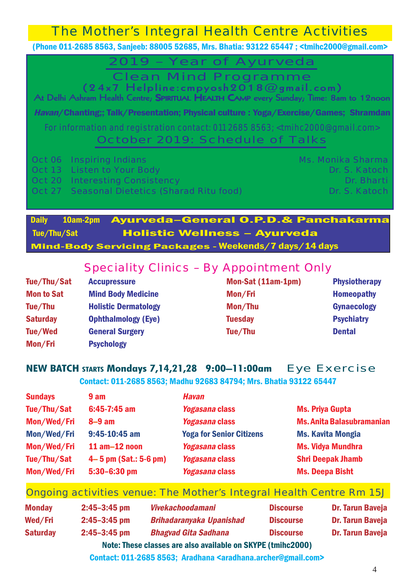## The Mother's Integral Health Centre Activities

(Phone 011-2685 8563, Sanjeeb: 88005 52685, Mrs. Bhatia: 93122 65447 ; <tmihc2000@gmail.com>

2019 – Year of Ayurveda Clean Mind Programme

**(24x7 Helpline:cmpyosh2018@gmail.com)**

**At Delhi Ashram Health Centre; SPIRITUAL HEALTH CAMP every Sunday; Time: 8am to 12noon**

Havan/Chanting;; Talk/Presentation; Physical culture : Yoga/Exercise/Games; Shramdan

For information and registration contact: 011 2685 8563; <tmihc2000@gmail.com> October 2019: Schedule of Talks

Oct 06 Inspiring Indians Ms. Monika Sharma

Oct 13 Listen to Your Body Dr. S. Katoch

Oct 20 Interesting Consistency Dr. Bharti

Oct 27 Seasonal Dietetics (*Sharad Ritu* food) Dr. S. Katoch

### Daily 10am-2pm Ayurveda–General O.P.D.& Panchakarma Tue/Thu/Sat **Holistic Wellness - Ayurveda** Mind-Body Servicing Packages - Weekends/7 days/14 days

## Speciality Clinics – By Appointment Only

| <b>Fue/Thu/Sat</b> | <b>Accupressure</b>         | Mon-Sat (11am-1pm) | <b>Physiother</b> |
|--------------------|-----------------------------|--------------------|-------------------|
| <b>Mon to Sat</b>  | <b>Mind Body Medicine</b>   | Mon/Fri            | <b>Homeopat</b>   |
| Tue/Thu            | <b>Holistic Dermatology</b> | Mon/Thu            | <b>Gynaecolo</b>  |
| <b>Saturday</b>    | <b>Ophthalmology (Eye)</b>  | <b>Tuesday</b>     | <b>Psychiatry</b> |
| Tue/Wed            | <b>General Surgery</b>      | Tue/Thu            | <b>Dental</b>     |
| Mon/Fri            | <b>Psychology</b>           |                    |                   |

Mon-Sat (11am-1pm) Physiotherapy Mon/Fri **Mind Body Medicine Montage Monduist** Moneopathy Mon/Thu Gynaecology

### **NEW BATCH STARTS Mondays 7,14,21,28 9:00–11:00am** Eye Exercise

Contact: 011-2685 8563; Madhu 92683 84794; Mrs. Bhatia 93122 65447

| <b>Sundays</b> | 9 am                      | <b>Havan</b>                    |                                  |
|----------------|---------------------------|---------------------------------|----------------------------------|
| Tue/Thu/Sat    | $6:45-7:45$ am            | <i><b>Yogasana class</b></i>    | <b>Ms. Priya Gupta</b>           |
| Mon/Wed/Fri    | $8-9$ am                  | Yogasana class                  | <b>Ms. Anita Balasubramanian</b> |
| Mon/Wed/Fri    | $9:45-10:45$ am           | <b>Yoga for Senior Citizens</b> | <b>Ms. Kavita Mongia</b>         |
| Mon/Wed/Fri    | 11 $am-12$ noon           | Yogasana class                  | <b>Ms. Vidya Mundhra</b>         |
| Tue/Thu/Sat    | $4 - 5$ pm (Sat.: 5-6 pm) | Yogasana class                  | <b>Shri Deepak Jhamb</b>         |
| Mon/Wed/Fri    | $5:30-6:30$ pm            | Yogasana class                  | <b>Ms. Deepa Bisht</b>           |

### Ongoing activities venue: The Mother's Integral Health Centre Rm 15J

| <b>Monday</b>   | $2:45-3:45$ pm | Vivekachoodamani                                            | <b>Discourse</b> | <b>Dr. Tarun Baveja</b> |
|-----------------|----------------|-------------------------------------------------------------|------------------|-------------------------|
| Wed/Fri         | $2:45-3:45$ pm | <b>Brihadaranyaka Upanishad</b>                             | <b>Discourse</b> | <b>Dr. Tarun Baveja</b> |
| <b>Saturday</b> | $2:45-3:45$ pm | <b>Bhagvad Gita Sadhana</b>                                 | <b>Discourse</b> | <b>Dr. Tarun Baveja</b> |
|                 |                | Note: These classes are also available on SKYPE (tmihc2000) |                  |                         |

Contact: 011-2685 8563; Aradhana <aradhana.archer@gmail.com>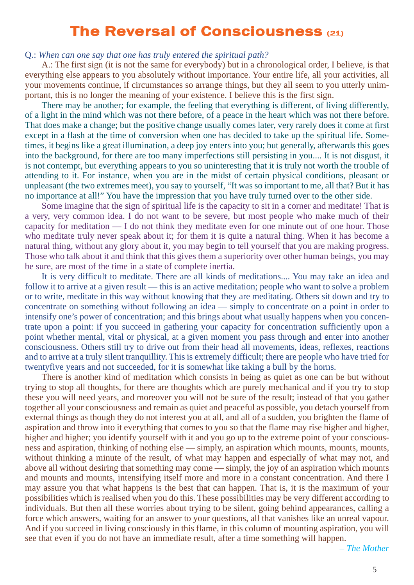## The Reversal of Consciousness (21)

#### Q.: *When can one say that one has truly entered the spiritual path?*

A.: The first sign (it is not the same for everybody) but in a chronological order, I believe, is that everything else appears to you absolutely without importance. Your entire life, all your activities, all your movements continue, if circumstances so arrange things, but they all seem to you utterly unimportant, this is no longer the meaning of your existence. I believe this is the first sign.

There may be another; for example, the feeling that everything is different, of living differently, of a light in the mind which was not there before, of a peace in the heart which was not there before. That does make a change; but the positive change usually comes later, very rarely does it come at first except in a flash at the time of conversion when one has decided to take up the spiritual life. Sometimes, it begins like a great illumination, a deep joy enters into you; but generally, afterwards this goes into the background, for there are too many imperfections still persisting in you.... It is not disgust, it is not contempt, but everything appears to you so uninteresting that it is truly not worth the trouble of attending to it. For instance, when you are in the midst of certain physical conditions, pleasant or unpleasant (the two extremes meet), you say to yourself, "It was so important to me, all that? But it has no importance at all!" You have the impression that you have truly turned over to the other side.

Some imagine that the sign of spiritual life is the capacity to sit in a corner and meditate! That is a very, very common idea. I do not want to be severe, but most people who make much of their capacity for meditation — I do not think they meditate even for one minute out of one hour. Those who meditate truly never speak about it; for them it is quite a natural thing. When it has become a natural thing, without any glory about it, you may begin to tell yourself that you are making progress. Those who talk about it and think that this gives them a superiority over other human beings, you may be sure, are most of the time in a state of complete inertia.

It is very difficult to meditate. There are all kinds of meditations.... You may take an idea and follow it to arrive at a given result — this is an active meditation; people who want to solve a problem or to write, meditate in this way without knowing that they are meditating. Others sit down and try to concentrate on something without following an idea — simply to concentrate on a point in order to intensify one's power of concentration; and this brings about what usually happens when you concentrate upon a point: if you succeed in gathering your capacity for concentration sufficiently upon a point whether mental, vital or physical, at a given moment you pass through and enter into another consciousness. Others still try to drive out from their head all movements, ideas, reflexes, reactions and to arrive at a truly silent tranquillity. This is extremely difficult; there are people who have tried for twentyfive years and not succeeded, for it is somewhat like taking a bull by the horns.

There is another kind of meditation which consists in being as quiet as one can be but without trying to stop all thoughts, for there are thoughts which are purely mechanical and if you try to stop these you will need years, and moreover you will not be sure of the result; instead of that you gather together all your consciousness and remain as quiet and peaceful as possible, you detach yourself from external things as though they do not interest you at all, and all of a sudden, you brighten the flame of aspiration and throw into it everything that comes to you so that the flame may rise higher and higher, higher and higher; you identify yourself with it and you go up to the extreme point of your consciousness and aspiration, thinking of nothing else — simply, an aspiration which mounts, mounts, mounts, without thinking a minute of the result, of what may happen and especially of what may not, and above all without desiring that something may come — simply, the joy of an aspiration which mounts and mounts and mounts, intensifying itself more and more in a constant concentration. And there I may assure you that what happens is the best that can happen. That is, it is the maximum of your possibilities which is realised when you do this. These possibilities may be very different according to individuals. But then all these worries about trying to be silent, going behind appearances, calling a force which answers, waiting for an answer to your questions, all that vanishes like an unreal vapour. And if you succeed in living consciously in this flame, in this column of mounting aspiration, you will see that even if you do not have an immediate result, after a time something will happen.

– *The Mother*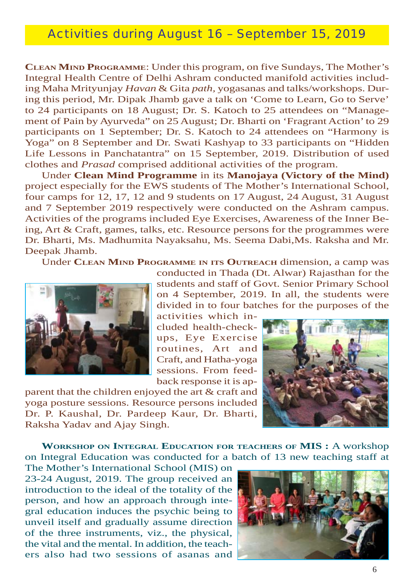## Activities during August 16 – September 15, 2019

**CLEAN MIND PROGRAMME**: Under this program, on five Sundays, The Mother's Integral Health Centre of Delhi Ashram conducted manifold activities including Maha Mrityunjay *Havan* & Gita *path,* yogasanas and talks/workshops. During this period, Mr. Dipak Jhamb gave a talk on 'Come to Learn, Go to Serve' to 24 participants on 18 August; Dr. S. Katoch to 25 attendees on "Management of Pain by Ayurveda" on 25 August; Dr. Bharti on 'Fragrant Action' to 29 participants on 1 September; Dr. S. Katoch to 24 attendees on "Harmony is Yoga" on 8 September and Dr. Swati Kashyap to 33 participants on "Hidden Life Lessons in Panchatantra" on 15 September, 2019. Distribution of used clothes and *Prasad* comprised additional activities of the program.

Under **Clean Mind Programme** in its **Manojaya (Victory of the Mind)** project especially for the EWS students of The Mother's International School, four camps for 12, 17, 12 and 9 students on 17 August, 24 August, 31 August and 7 September 2019 respectively were conducted on the Ashram campus. Activities of the programs included Eye Exercises, Awareness of the Inner Being, Art & Craft, games, talks, etc. Resource persons for the programmes were Dr. Bharti, Ms. Madhumita Nayaksahu, Ms. Seema Dabi,Ms. Raksha and Mr. Deepak Jhamb.

Under **CLEAN MIND PROGRAMME IN ITS OUTREACH** dimension, a camp was



conducted in Thada (Dt. Alwar) Rajasthan for the students and staff of Govt. Senior Primary School on 4 September, 2019. In all, the students were divided in to four batches for the purposes of the activities which in-

cluded health-checkups, Eye Exercise routines, Art and Craft, and Hatha-yoga sessions. From feedback response it is ap-

parent that the children enjoyed the art & craft and yoga posture sessions. Resource persons included Dr. P. Kaushal, Dr. Pardeep Kaur, Dr. Bharti, Raksha Yadav and Ajay Singh.



**WORKSHOP ON INTEGRAL EDUCATION FOR TEACHERS OF MIS :** A workshop on Integral Education was conducted for a batch of 13 new teaching staff at

The Mother's International School (MIS) on 23-24 August, 2019. The group received an introduction to the ideal of the totality of the person, and how an approach through integral education induces the psychic being to unveil itself and gradually assume direction of the three instruments, viz., the physical, the vital and the mental. In addition, the teachers also had two sessions of asanas and

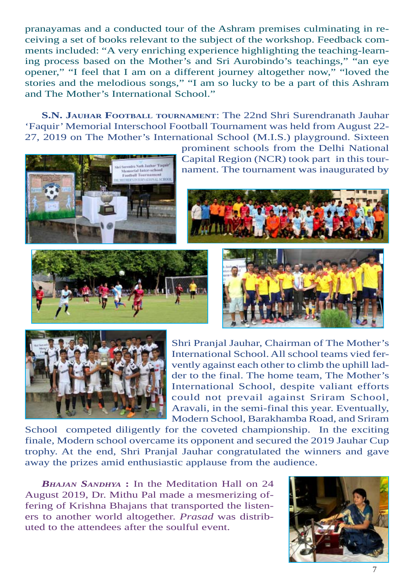pranayamas and a conducted tour of the Ashram premises culminating in receiving a set of books relevant to the subject of the workshop. Feedback comments included: "A very enriching experience highlighting the teaching-learning process based on the Mother's and Sri Aurobindo's teachings," "an eye opener," "I feel that I am on a different journey altogether now," "loved the stories and the melodious songs," "I am so lucky to be a part of this Ashram and The Mother's International School."

**S.N. JAUHAR FOOTBALL TOURNAMENT**: The 22nd Shri Surendranath Jauhar 'Faquir' Memorial Interschool Football Tournament was held from August 22- 27, 2019 on The Mother's International School (M.I.S.) playground. Sixteen



prominent schools from the Delhi National Capital Region (NCR) took part in this tournament. The tournament was inaugurated by









Shri Pranjal Jauhar, Chairman of The Mother's International School. All school teams vied fervently against each other to climb the uphill ladder to the final. The home team, The Mother's International School, despite valiant efforts could not prevail against Sriram School, Aravali, in the semi-final this year. Eventually, Modern School, Barakhamba Road, and Sriram

School competed diligently for the coveted championship. In the exciting finale, Modern school overcame its opponent and secured the 2019 Jauhar Cup trophy. At the end, Shri Pranjal Jauhar congratulated the winners and gave away the prizes amid enthusiastic applause from the audience.

*BHAJAN SANDHYA* **:** In the Meditation Hall on 24 August 2019, Dr. Mithu Pal made a mesmerizing offering of Krishna Bhajans that transported the listeners to another world altogether. *Prasad* was distributed to the attendees after the soulful event.

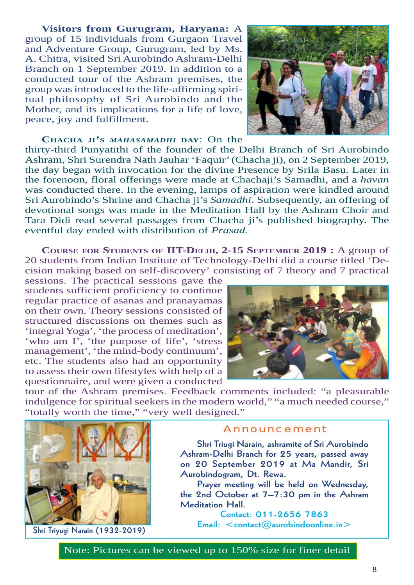**Visitors from Gurugram, Haryana:** A group of 15 individuals from Gurgaon Travel and Adventure Group, Gurugram, led by Ms. A. Chitra, visited Sri Aurobindo Ashram-Delhi Branch on 1 September 2019. In addition to a conducted tour of the Ashram premises, the group was introduced to the life-affirming spiritual philosophy of Sri Aurobindo and the Mother, and its implications for a life of love, peace, joy and fulfillment.

#### **CHACHA JI'S** *MAHASAMADHI* **DAY**: On the

thirty-third Punyatithi of the founder of the Delhi Branch of Sri Aurobindo Ashram, Shri Surendra Nath Jauhar 'Faquir' (Chacha ji), on 2 September 2019, the day began with invocation for the divine Presence by Srila Basu. Later in the forenoon, floral offerings were made at Chachaji's Samadhi, and a *havan* was conducted there. In the evening, lamps of aspiration were kindled around Sri Aurobindo's Shrine and Chacha ji's *Samadhi*. Subsequently, an offering of devotional songs was made in the Meditation Hall by the Ashram Choir and Tara Didi read several passages from Chacha ji's published biography. The eventful day ended with distribution of *Prasad*.

**COURSE FOR STUDENTS OF IIT-DELHI, 2-15 SEPTEMBER 2019 :** A group of 20 students from Indian Institute of Technology-Delhi did a course titled 'Decision making based on self-discovery' consisting of 7 theory and 7 practical

sessions. The practical sessions gave the students sufficient proficiency to continue regular practice of asanas and pranayamas on their own. Theory sessions consisted of structured discussions on themes such as 'integral Yoga', 'the process of meditation', 'who am I', 'the purpose of life', 'stress management', 'the mind-body continuum', etc. The students also had an opportunity to assess their own lifestyles with help of a questionnaire, and were given a conducted

tour of the Ashram premises. Feedback comments included: "a pleasurable indulgence for spiritual seekers in the modern world," "a much needed course," "totally worth the time," "very well designed."



**Shri Triyugi Narain (1932-2019)**

#### Announcement

**Shri Triugi Narain, ashramite of Sri Aurobindo Ashram-Delhi Branch for 25 years, passed away on 20 September 2019 at Ma Mandir, Sri Aurobindogram, Dt. Rewa.**

**Prayer meeting will be held on Wednesday, the 2nd October at 7–7:30 pm in the Ashram Meditation Hall.**

**Contact: 011-2656 7863 Email: <contact@aurobindoonline.in>**

Note: Pictures can be viewed up to 150% size for finer detail



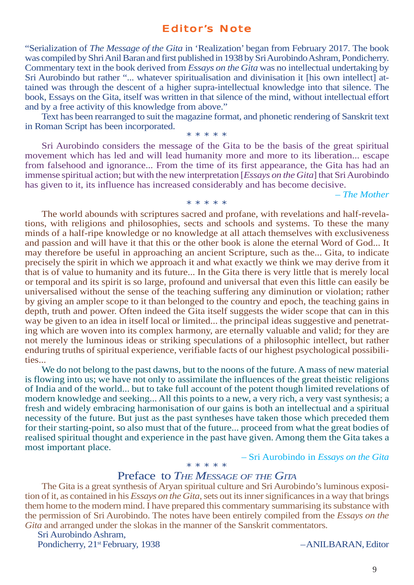#### **Editor's Note**

"Serialization of *The Message of the Gita* in 'Realization' began from February 2017. The book was compiled by Shri Anil Baran and first published in 1938 by Sri Aurobindo Ashram, Pondicherry. Commentary text in the book derived from *Essays on the Gita* was no intellectual undertaking by Sri Aurobindo but rather "... whatever spiritualisation and divinisation it [his own intellect] attained was through the descent of a higher supra-intellectual knowledge into that silence. The book, Essays on the Gita, itself was written in that silence of the mind, without intellectual effort and by a free activity of this knowledge from above."

Text has been rearranged to suit the magazine format, and phonetic rendering of Sanskrit text in Roman Script has been incorporated.

\* \* \* \* \*

Sri Aurobindo considers the message of the Gita to be the basis of the great spiritual movement which has led and will lead humanity more and more to its liberation... escape from falsehood and ignorance... From the time of its first appearance, the Gita has had an immense spiritual action; but with the new interpretation [*Essays on the Gita*] that Sri Aurobindo has given to it, its influence has increased considerably and has become decisive.

\* \* \* \* \*

– *The Mother*

The world abounds with scriptures sacred and profane, with revelations and half-revelations, with religions and philosophies, sects and schools and systems. To these the many minds of a half-ripe knowledge or no knowledge at all attach themselves with exclusiveness and passion and will have it that this or the other book is alone the eternal Word of God... It may therefore be useful in approaching an ancient Scripture, such as the... Gita, to indicate precisely the spirit in which we approach it and what exactly we think we may derive from it that is of value to humanity and its future... In the Gita there is very little that is merely local or temporal and its spirit is so large, profound and universal that even this little can easily be universalised without the sense of the teaching suffering any diminution or violation; rather by giving an ampler scope to it than belonged to the country and epoch, the teaching gains in depth, truth and power. Often indeed the Gita itself suggests the wider scope that can in this way be given to an idea in itself local or limited... the principal ideas suggestive and penetrating which are woven into its complex harmony, are eternally valuable and valid; for they are not merely the luminous ideas or striking speculations of a philosophic intellect, but rather enduring truths of spiritual experience, verifiable facts of our highest psychological possibilities...

We do not belong to the past dawns, but to the noons of the future. A mass of new material is flowing into us; we have not only to assimilate the influences of the great theistic religions of India and of the world... but to take full account of the potent though limited revelations of modern knowledge and seeking... All this points to a new, a very rich, a very vast synthesis; a fresh and widely embracing harmonisation of our gains is both an intellectual and a spiritual necessity of the future. But just as the past syntheses have taken those which preceded them for their starting-point, so also must that of the future... proceed from what the great bodies of realised spiritual thought and experience in the past have given. Among them the Gita takes a most important place.

– Sri Aurobindo in *Essays on the Gita*

### Preface to *THE MESSAGE OF THE GITA*

\* \* \* \* \*

The Gita is a great synthesis of Aryan spiritual culture and Sri Aurobindo's luminous exposition of it, as contained in his *Essays on the Gita*, sets out its inner significances in a way that brings them home to the modern mind. I have prepared this commentary summarising its substance with the permission of Sri Aurobindo. The notes have been entirely compiled from the *Essays on the Gita* and arranged under the slokas in the manner of the Sanskrit commentators.

 Sri Aurobindo Ashram, Pondicherry,  $21^{st}$  February, 1938 – ANILBARAN, Editor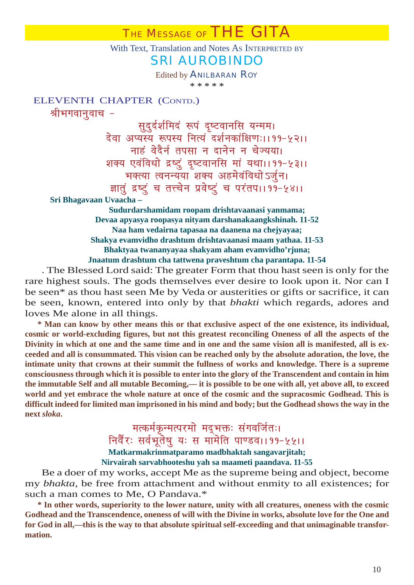## THE MESSAGE OF THE GI

With Text, Translation and Notes AS INTERPRETED BY

SRI AUROBINDO

Edited by ANILBARAN ROY

\* \* \* \* \*

ELEVENTH CHAPTER (CONTD.) श्रीभगवानुवाच -

सुदुर्दर्शमिदं रूपं दृष्टवानसि यन्मम<mark>।</mark> देवा अप्यस्य रूपस्य नित्यं दर्शनकांक्षिणः।।**११-**५२।। <u>नाहं</u> वेदैर्न तपसा न दानेन न चेज्यया। शक्य एवंविधो द्रष्टुं दृष्टवानसि मां यथा।। ११-५३।। <u>भक्त्या त्वनन्यया शक्य अहमेवंविधोऽर्जुन।</u> ज्ञातुं द्रष्टुं च तत्त्वेन प्रवेष्टुं च परंतपा। ११-५४।। **Sri Bhagavaan Uvaacha –**

**Sudurdarshamidam roopam drishtavaanasi yanmama; Devaa apyasya roopasya nityam darshanakaangkshinah. 11-52 Naa ham vedairna tapasaa na daanena na chejyayaa; Shakya evamvidho drashtum drishtavaanasi maam yathaa. 11-53 Bhaktyaa twananyayaa shakyam aham evamvidho'rjuna; Jnaatum drashtum cha tattwena praveshtum cha parantapa. 11-54**

. The Blessed Lord said: The greater Form that thou hast seen is only for the rare highest souls. The gods themselves ever desire to look upon it. Nor can I be seen\* as thou hast seen Me by Veda or austerities or gifts or sacrifice, it can be seen, known, entered into only by that *bhakti* which regards, adores and loves Me alone in all things.

**\* Man can know by other means this or that exclusive aspect of the one existence, its individual, cosmic or world-excluding figures, but not this greatest reconciling Oneness of all the aspects of the Divinity in which at one and the same time and in one and the same vision all is manifested, all is exceeded and all is consummated. This vision can be reached only by the absolute adoration, the love, the intimate unity that crowns at their summit the fullness of works and knowledge. There is a supreme consciousness through which it is possible to enter into the glory of the Transcendent and contain in him the immutable Self and all mutable Becoming,— it is possible to be one with all, yet above all, to exceed world and yet embrace the whole nature at once of the cosmic and the supracosmic Godhead. This is difficult indeed for limited man imprisoned in his mind and body; but the Godhead shows the way in the next** *sloka***.**

> मत्कर्मकृन्मत्परमो मद्*भक्तः संगवर्जितः*। निर्वेरः सर्वभूतेषु यः स मामेति पाण्डव।।**१**१-५५।। **Matkarmakrinmatparamo madbhaktah sangavarjitah; Nirvairah sarvabhooteshu yah sa maameti paandava. 11-55**

Be a doer of my works, accept Me as the supreme being and object, become my *bhakta*, be free from attachment and without enmity to all existences; for such a man comes to Me, O Pandava.\*

**\* In other words, superiority to the lower nature, unity with all creatures, oneness with the cosmic Godhead and the Transcendence, oneness of will with the Divine in works, absolute love for the One and for God in all,—this is the way to that absolute spiritual self-exceeding and that unimaginable transformation.**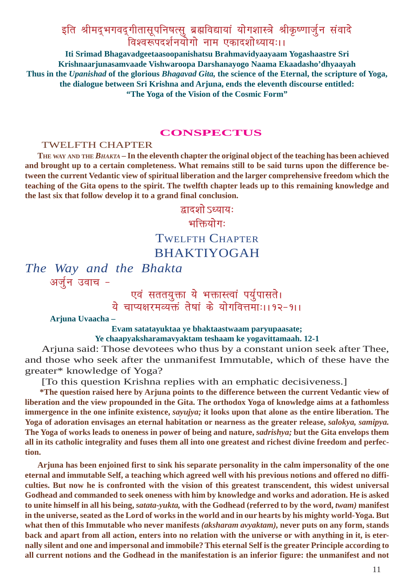## इति श्रीमद्भगवद्गीतासूपनिषत्सु ब्रह्मविद्यायां योगशास्त्रे श्रीकृष्णार्जुन संवादे <u>विश्वरूपदर्शनयोगो नाम एकादशोध्यायः।।</u>

**Iti Srimad Bhagavadgeetaasoopanishatsu Brahmavidyaayaam Yogashaastre Sri Krishnaarjunasamvaade Vishwaroopa Darshanayogo Naama Ekaadasho'dhyaayah Thus in the** *Upanishad* **of the glorious** *Bhagavad Gita,* **the science of the Eternal, the scripture of Yoga, the dialogue between Sri Krishna and Arjuna, ends the eleventh discourse entitled: "The Yoga of the Vision of the Cosmic Form"**

#### **CONSPECTUS**

#### TWELFTH CHAPTER

**THE WAY AND THE** *BHAKTA* **– In the eleventh chapter the original object of the teaching has been achieved and brought up to a certain completeness. What remains still to be said turns upon the difference between the current Vedantic view of spiritual liberation and the larger comprehensive freedom which the teaching of the Gita opens to the spirit. The twelfth chapter leads up to this remaining knowledge and the last six that follow develop it to a grand final conclusion.**

## **हादशो** ऽध्याय:

भक्तियोग:

# TWELFTH CHAPTER

### BHAKTIYOGAH

*The Way and the Bhakta* अर्जून उवाच -

## ्<br>एवं सततयुक्ता ये भक्तास्त्वां पर्युपासते। .<br>ये चाप्यक्षरमव्यक्तं तेषां के योगवित्तमाः।।१२-१।।

**Arjuna Uvaacha –**

#### **Evam satatayuktaa ye bhaktaastwaam paryupaasate; Ye chaapyaksharamavyaktam teshaam ke yogavittamaah. 12-1**

Arjuna said: Those devotees who thus by a constant union seek after Thee, and those who seek after the unmanifest Immutable, which of these have the greater\* knowledge of Yoga?

[To this question Krishna replies with an emphatic decisiveness.]

 **\*The question raised here by Arjuna points to the difference between the current Vedantic view of liberation and the view propounded in the Gita. The orthodox Yoga of knowledge aims at a fathomless immergence in the one infinite existence,** *sayujya;* **it looks upon that alone as the entire liberation. The Yoga of adoration envisages an eternal habitation or nearness as the greater release,** *salokya, samipya.* **The Yoga of works leads to oneness in power of being and nature,** *sadrishya;* **but the Gita envelops them all in its catholic integrality and fuses them all into one greatest and richest divine freedom and perfection.**

**Arjuna has been enjoined first to sink his separate personality in the calm impersonality of the one eternal and immutable Self, a teaching which agreed well with his previous notions and offered no difficulties. But now he is confronted with the vision of this greatest transcendent, this widest universal Godhead and commanded to seek oneness with him by knowledge and works and adoration. He is asked to unite himself in all his being,** *satata-yukta,* **with the Godhead (referred to by the word,** *twam)* **manifest in the universe, seated as the Lord of works in the world and in our hearts by his mighty world-Yoga. But what then of this Immutable who never manifests** *(aksharam avyaktam),* **never puts on any form, stands back and apart from all action, enters into no relation with the universe or with anything in it, is eternally silent and one and impersonal and immobile? This eternal Self is the greater Principle according to all current notions and the Godhead in the manifestation is an inferior figure: the unmanifest and not**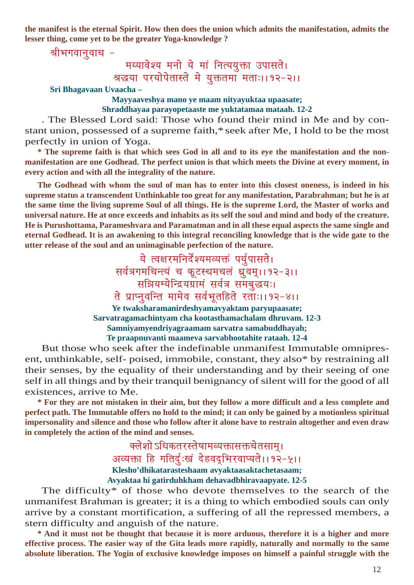**the manifest is the eternal Spirit. How then does the union which admits the manifestation, admits the lesser thing, come yet to be the greater Yoga-knowledge ?**

श्रीभगवानुवाच -

मय्यावेश्य मनो ये मां नित्ययुक्ता उपासते। श्रद्धया परयोपेतास्ते मे युक्ततमा मताः।। १२-२।।

**Sri Bhagavaan Uvaacha –**

**Mayyaaveshya mano ye maam nityayuktaa upaasate; Shraddhayaa parayopetaaste me yuktatamaa mataah. 12-2**

. The Blessed Lord said: Those who found their mind in Me and by constant union, possessed of a supreme faith,\* seek after Me, I hold to be the most perfectly in union of Yoga.

**\* The supreme faith is that which sees God in all and to its eye the manifestation and the nonmanifestation are one Godhead. The perfect union is that which meets the Divine at every moment, in every action and with all the integrality of the nature.**

**The Godhead with whom the soul of man has to enter into this closest oneness, is indeed in his supreme status a transcendent Unthinkable too great for any manifestation, Parabrahman; but he is at the same time the living supreme Soul of all things. He is the supreme Lord, the Master of works and universal nature. He at once exceeds and inhabits as its self the soul and mind and body of the creature. He is Purushottama, Parameshvara and Paramatman and in all these equal aspects the same single and eternal Godhead. It is an awakening to this integral reconciling knowledge that is the wide gate to the utter release of the soul and an unimaginable perfection of the nature.**

> ये त्वक्षरमनिर्देश्यमव्यक्तं पर्युपासते। सर्वत्रगमचिन्त्यं च कूटस्थमचलं ध्रुवम्।।<mark>१२-३।।</mark> सन्नियम्येन्द्रियग्रामं सर्वत्र समबुद्धयः। ते प्राप्नुवन्ति मामेव सर्वभूतहिते रताः।। १२-४।। **Ye twaksharamanirdeshyamavyaktam paryupaasate; Sarvatragamachintyam cha kootasthamachalam dhruvam. 12-3 Samniyamyendriyagraamam sarvatra samabuddhayah; Te praapnuvanti maameva sarvabhootahite rataah. 12-4**

But those who seek after the indefinable unmanifest Immutable omnipresent, unthinkable, self- poised, immobile, constant, they also\* by restraining all their senses, by the equality of their understanding and by their seeing of one self in all things and by their tranquil benignancy of silent will for the good of all existences, arrive to Me.

**\* For they are not mistaken in their aim, but they follow a more difficult and a less complete and perfect path. The Immutable offers no hold to the mind; it can only be gained by a motionless spiritual impersonality and silence and those who follow after it alone have to restrain altogether and even draw in completely the action of the mind and senses.**

> ंक्लेशो ऽधिकतरस्तेषामव्यक्तासक्तचेतसाम। अव्यक्ता हि गतिर्दूःखं देहवद्भिरवाप्यते।। १२-५।। **Klesho'dhikatarasteshaam avyaktaasaktachetasaam; Avyaktaa hi gatirduhkham dehavadbhiravaapyate. 12-5**

The difficulty\* of those who devote themselves to the search of the unmanifest Brahman is greater; it is a thing to which embodied souls can only arrive by a constant mortification, a suffering of all the repressed members, a stern difficulty and anguish of the nature.

**\* And it must not be thought that because it is more arduous, therefore it is a higher and more effective process. The easier way of the Gita leads more rapidly, naturally and normally to the same absolute liberation. The Yogin of exclusive knowledge imposes on himself a painful struggle with the**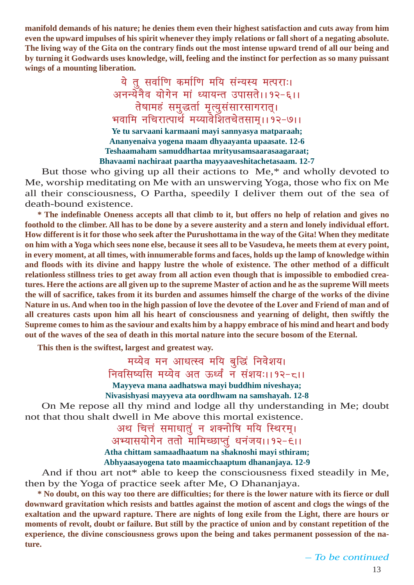**manifold demands of his nature; he denies them even their highest satisfaction and cuts away from him even the upward impulses of his spirit whenever they imply relations or fall short of a negating absolute. The living way of the Gita on the contrary finds out the most intense upward trend of all our being and by turning it Godwards uses knowledge, will, feeling and the instinct for perfection as so many puissant wings of a mounting liberation.**

> ये तु सर्वाणि कर्माणि मयि संन्यस्य मत्पर<mark>ाः</mark>। अनन्ये<mark>ँनैव योगेन मां ध्यायन्त उपासते।।</mark> १२-६।। तेषामहं समुद्धर्ता मृत्युसंसारसागरात्। .<br>भवामि नचिरात्पार्थ मय्यावेशितचेतसाम्।। १२-७।। **Ye tu sarvaani karmaani mayi sannyasya matparaah; Ananyenaiva yogena maam dhyaayanta upaasate. 12-6 Teshaamaham samuddhartaa mrityusamsaarasaagaraat; Bhavaami nachiraat paartha mayyaaveshitachetasaam. 12-7**

But those who giving up all their actions to Me,\* and wholly devoted to Me, worship meditating on Me with an unswerving Yoga, those who fix on Me all their consciousness, O Partha, speedily I deliver them out of the sea of death-bound existence.

**\* The indefinable Oneness accepts all that climb to it, but offers no help of relation and gives no foothold to the climber. All has to be done by a severe austerity and a stern and lonely individual effort. How different is it for those who seek after the Purushottama in the way of the Gita! When they meditate on him with a Yoga which sees none else, because it sees all to be Vasudeva, he meets them at every point, in every moment, at all times, with innumerable forms and faces, holds up the lamp of knowledge within and floods with its divine and happy lustre the whole of existence. The other method of a difficult relationless stillness tries to get away from all action even though that is impossible to embodied creatures. Here the actions are all given up to the supreme Master of action and he as the supreme Will meets the will of sacrifice, takes from it its burden and assumes himself the charge of the works of the divine Nature in us. And when too in the high passion of love the devotee of the Lover and Friend of man and of all creatures casts upon him all his heart of consciousness and yearning of delight, then swiftly the Supreme comes to him as the saviour and exalts him by a happy embrace of his mind and heart and body out of the waves of the sea of death in this mortal nature into the secure bosom of the Eternal.**

**This then is the swiftest, largest and greatest way.**

### मय्येव मन आधत्स्व मयि बुद्धिं निवेशय। <u>निवसिष्यसि मय्येव अत ऊर्ध्वं न संशयः।।१२-८।।</u>

**Mayyeva mana aadhatswa mayi buddhim niveshaya;**

**Nivasishyasi mayyeva ata oordhwam na samshayah. 12-8**

On Me repose all thy mind and lodge all thy understanding in Me; doubt not that thou shalt dwell in Me above this mortal existence.

अथ चित्तं समाधातुं न शक्नोषि मयि स्थिरम्। अभ्यासयोगेन ततो मामिच्छाप्तुं धनंजय।। १२- ६।।

**Atha chittam samaadhaatum na shaknoshi mayi sthiram; Abhyaasayogena tato maamicchaaptum dhananjaya. 12-9**

And if thou art not\* able to keep the consciousness fixed steadily in Me, then by the Yoga of practice seek after Me, O Dhananjaya.

**\* No doubt, on this way too there are difficulties; for there is the lower nature with its fierce or dull downward gravitation which resists and battles against the motion of ascent and clogs the wings of the exaltation and the upward rapture. There are nights of long exile from the Light, there are hours or moments of revolt, doubt or failure. But still by the practice of union and by constant repetition of the experience, the divine consciousness grows upon the being and takes permanent possession of the nature.**